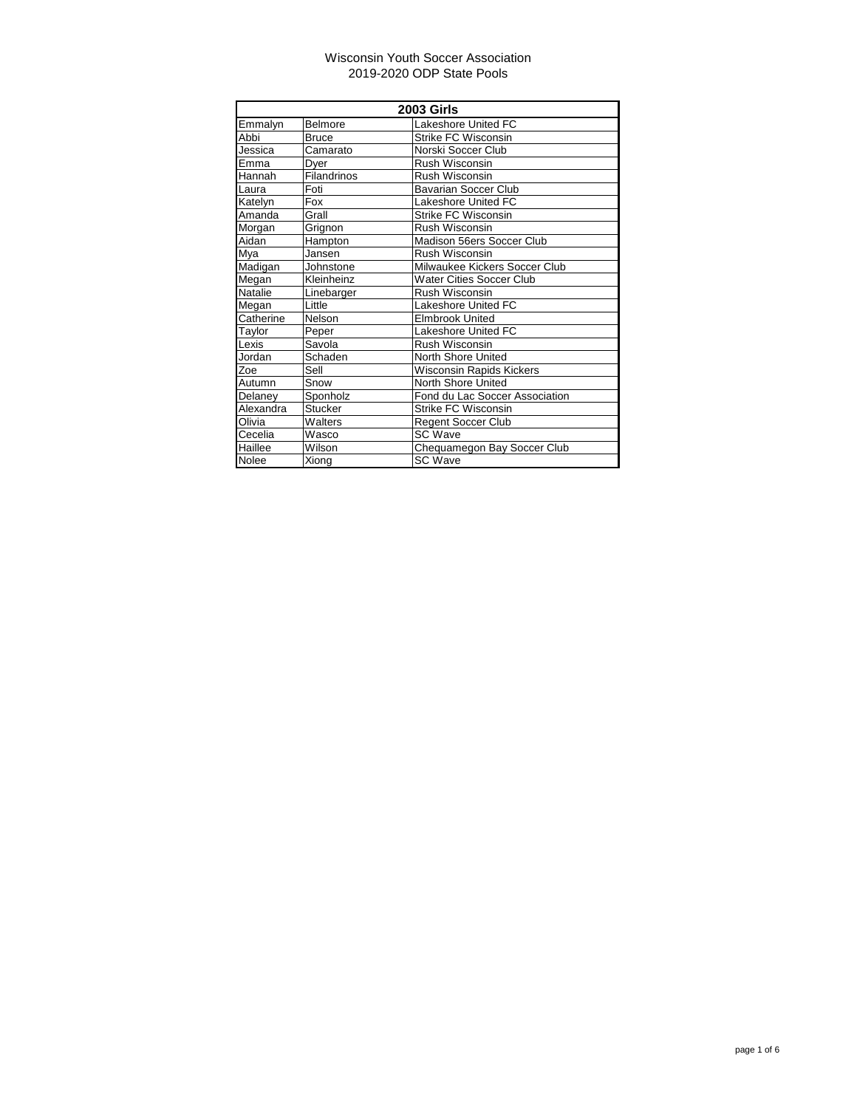| <b>2003 Girls</b> |                |                                |
|-------------------|----------------|--------------------------------|
| Emmalyn           | Belmore        | Lakeshore United FC            |
| Abbi              | Bruce          | <b>Strike FC Wisconsin</b>     |
| Jessica           | Camarato       | Norski Soccer Club             |
| Emma              | Dyer           | Rush Wisconsin                 |
| Hannah            | Filandrinos    | <b>Rush Wisconsin</b>          |
| Laura             | Foti           | <b>Bavarian Soccer Club</b>    |
| Katelyn           | Fox            | Lakeshore United FC            |
| Amanda            | Grall          | Strike FC Wisconsin            |
| Morgan            | Grignon        | <b>Rush Wisconsin</b>          |
| Aidan             | Hampton        | Madison 56ers Soccer Club      |
| Mya               | Jansen         | Rush Wisconsin                 |
| Madigan           | Johnstone      | Milwaukee Kickers Soccer Club  |
| Megan             | Kleinheinz     | Water Cities Soccer Club       |
| Natalie           | Linebarger     | Rush Wisconsin                 |
| Megan             | Little         | <b>Lakeshore United FC</b>     |
| Catherine         | Nelson         | <b>Elmbrook United</b>         |
| Taylor            | Peper          | Lakeshore United FC            |
| Lexis             | Savola         | Rush Wisconsin                 |
| Jordan            | Schaden        | North Shore United             |
| Zoe               | Sell           | Wisconsin Rapids Kickers       |
| Autumn            | Snow           | North Shore United             |
| Delaney           | Sponholz       | Fond du Lac Soccer Association |
| Alexandra         | <b>Stucker</b> | Strike FC Wisconsin            |
| Olivia            | Walters        | Regent Soccer Club             |
| Cecelia           | Wasco          | <b>SC Wave</b>                 |
| Haillee           | Wilson         | Chequamegon Bay Soccer Club    |
| <b>Nolee</b>      | Xiong          | <b>SC Wave</b>                 |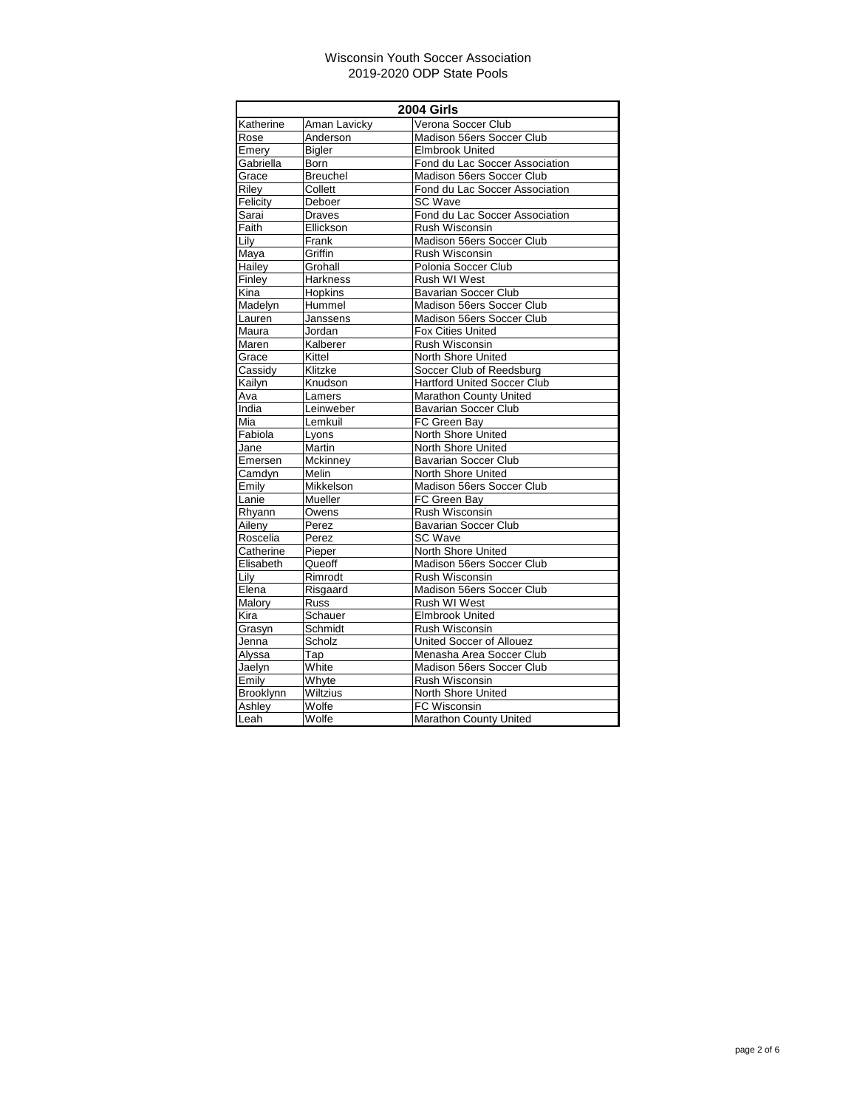| 2004 Girls |                 |                                    |
|------------|-----------------|------------------------------------|
| Katherine  | Aman Lavicky    | Verona Soccer Club                 |
| Rose       | Anderson        | Madison 56ers Soccer Club          |
| Emery      | <b>Bigler</b>   | <b>Elmbrook United</b>             |
| Gabriella  | Born            | Fond du Lac Soccer Association     |
| Grace      | <b>Breuchel</b> | Madison 56ers Soccer Club          |
| Riley      | Collett         | Fond du Lac Soccer Association     |
| Felicity   | Deboer          | <b>SC Wave</b>                     |
| Sarai      | Draves          | Fond du Lac Soccer Association     |
| Faith      | Ellickson       | <b>Rush Wisconsin</b>              |
| Lily       | Frank           | Madison 56ers Soccer Club          |
| Maya       | Griffin         | <b>Rush Wisconsin</b>              |
| Hailey     | Grohall         | Polonia Soccer Club                |
| Finley     | <b>Harkness</b> | Rush WI West                       |
| Kina       | <b>Hopkins</b>  | <b>Bavarian Soccer Club</b>        |
| Madelyn    | Hummel          | Madison 56ers Soccer Club          |
| Lauren     | Janssens        | Madison 56ers Soccer Club          |
| Maura      | Jordan          | <b>Fox Cities United</b>           |
| Maren      | Kalberer        | Rush Wisconsin                     |
| Grace      | Kittel          | North Shore United                 |
| Cassidy    | Klitzke         | Soccer Club of Reedsburg           |
| Kailyn     | Knudson         | <b>Hartford United Soccer Club</b> |
| Āva        | Lamers          | Marathon County United             |
| India      | Leinweber       | Bavarian Soccer Club               |
| Mia        | Lemkuil         | FC Green Bay                       |
| Fabiola    | Lyons           | North Shore United                 |
| Jane       | Martin          | North Shore United                 |
| Emersen    | Mckinney        | <b>Bavarian Soccer Club</b>        |
| Camdyn     | Melin           | North Shore United                 |
| Emily      | Mikkelson       | Madison 56ers Soccer Club          |
| Lanie      | Mueller         | FC Green Bay                       |
| Rhyann     | Owens           | Rush Wisconsin                     |
| Aileny     | Perez           | <b>Bavarian Soccer Club</b>        |
| Roscelia   | Perez           | <b>SC Wave</b>                     |
| Catherine  | Pieper          | North Shore United                 |
| Elisabeth  | Queoff          | Madison 56ers Soccer Club          |
| Lily       | Rimrodt         | Rush Wisconsin                     |
| Elena      | Risgaard        | Madison 56ers Soccer Club          |
| Malory     | Russ            | Rush WI West                       |
| Kira       | Schauer         | <b>Elmbrook United</b>             |
| Grasyn     | Schmidt         | Rush Wisconsin                     |
| Jenna      | Scholz          | United Soccer of Allouez           |
| Alyssa     | $\bar{T}$ ap    | Menasha Area Soccer Club           |
| Jaelyn     | White           | Madison 56ers Soccer Club          |
| Emily      | Whyte           | Rush Wisconsin                     |
| Brooklynn  | Wiltzius        | North Shore United                 |
| Ashley     | Wolfe           | FC Wisconsin                       |
| Leah       | Wolfe           | Marathon County United             |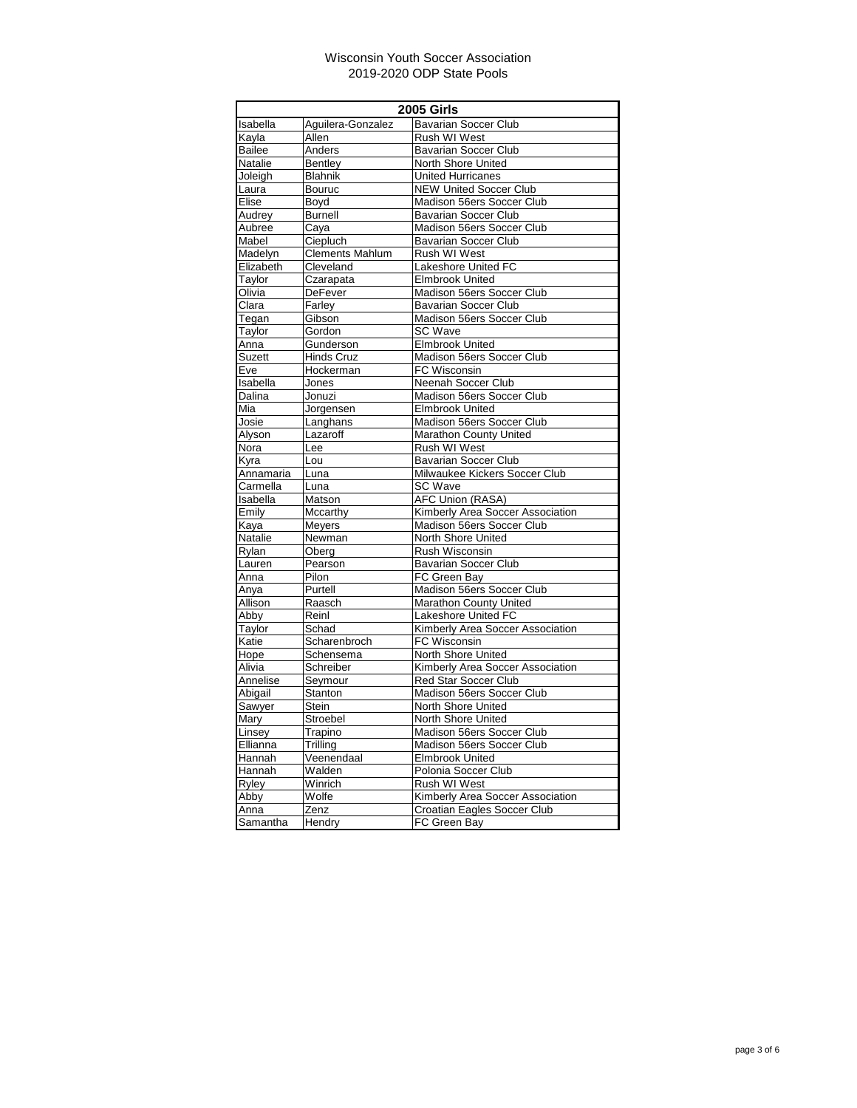| <b>2005 Girls</b> |                         |                                  |
|-------------------|-------------------------|----------------------------------|
| Isabella          | Aguilera-Gonzalez       | <b>Bavarian Soccer Club</b>      |
| Kayla             | Allen                   | Rush WI West                     |
| Bailee            | Anders                  | <b>Bavarian Soccer Club</b>      |
| Natalie           | Bentley                 | North Shore United               |
| Joleigh           | <b>Blahnik</b>          | <b>United Hurricanes</b>         |
| Laura             | Bouruc                  | <b>NEW United Soccer Club</b>    |
| Elise             | Boyd                    | Madison 56ers Soccer Club        |
| Audrey            | <b>Burnell</b>          | <b>Bavarian Soccer Club</b>      |
| Aubree            | Caya                    | Madison 56ers Soccer Club        |
| Mabel             | Ciepluch                | <b>Bavarian Soccer Club</b>      |
| Madelyn           | <b>Clements Mahlum</b>  | Rush WI West                     |
| Elizabeth         | Cleveland               | Lakeshore United FC              |
| Taylor            | Czarapata               | <b>Elmbrook United</b>           |
| Olivia            | <b>DeFever</b>          | Madison 56ers Soccer Club        |
| Clara             | Farley                  | <b>Bavarian Soccer Club</b>      |
| Tegan             | Gibson                  | Madison 56ers Soccer Club        |
| Taylor            | Gordon                  | <b>SC Wave</b>                   |
| Anna              | Gunderson               | <b>Elmbrook United</b>           |
| Suzett            | <b>Hinds Cruz</b>       | Madison 56ers Soccer Club        |
| Eve               | Hockerman               | FC Wisconsin                     |
| Isabella          | Jones                   | Neenah Soccer Club               |
| Dalina            | Jonuzi                  | Madison 56ers Soccer Club        |
| Mia               | Jorgensen               | <b>Elmbrook United</b>           |
| Josie             | Langhans                | Madison 56ers Soccer Club        |
| Alyson            | Lazaroff                | Marathon County United           |
| Nora              | Lee                     | Rush WI West                     |
| Kyra              | $\overline{\text{Lou}}$ | <b>Bavarian Soccer Club</b>      |
| Annamaria         | Luna                    | Milwaukee Kickers Soccer Club    |
| Carmella          | Luna                    | <b>SC Wave</b>                   |
| Isabella          | Matson                  | <b>AFC Union (RASA)</b>          |
| Emily             | Mccarthy                | Kimberly Area Soccer Association |
| Kaya              | Meyers                  | Madison 56ers Soccer Club        |
| Natalie           | Newman                  | North Shore United               |
| Rylan             | Oberg                   | Rush Wisconsin                   |
| Lauren            | Pearson                 | <b>Bavarian Soccer Club</b>      |
| Anna              | Pilon                   | FC Green Bay                     |
| Anya              | Purtell                 | Madison 56ers Soccer Club        |
| Allison           | Raasch                  | Marathon County United           |
| Abby              | Reinl                   | Lakeshore United FC              |
| Taylor            | Schad                   | Kimberly Area Soccer Association |
| Katie             | Scharenbroch            | FC Wisconsin                     |
| Hope              | Schensema               | North Shore United               |
| Alivia            | Schreiber               | Kimberly Area Soccer Association |
| Annelise          | Seymour                 | <b>Red Star Soccer Club</b>      |
| Abigail           | <b>Stanton</b>          | Madison 56ers Soccer Club        |
| Sawyer            | <b>Stein</b>            | North Shore United               |
| Mary              | Stroebel                | North Shore United               |
| Linsey            | Trapino                 | Madison 56ers Soccer Club        |
| Ellianna          | Trilling                | Madison 56ers Soccer Club        |
| Hannah            | Veenendaal              | <b>Elmbrook United</b>           |
| Hannah            | Walden                  | Polonia Soccer Club              |
| Ryley             | Winrich                 | Rush WI West                     |
| Abby              | Wolfe                   | Kimberly Area Soccer Association |
| Anna              | Zenz                    | Croatian Eagles Soccer Club      |
| Samantha          | Hendry                  | FC Green Bay                     |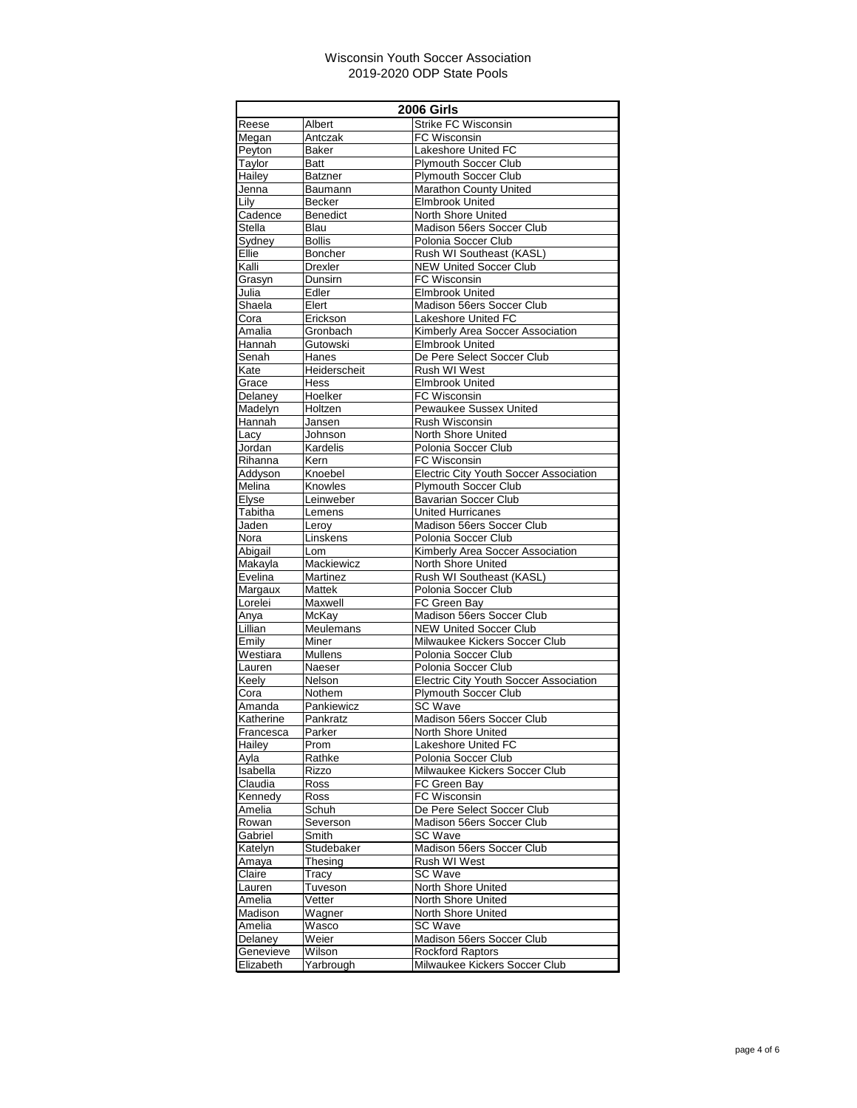| <b>2006 Girls</b>  |                          |                                                        |
|--------------------|--------------------------|--------------------------------------------------------|
| Reese              | Albert                   | <b>Strike FC Wisconsin</b>                             |
| Megan              | Antczak                  | <b>FC Wisconsin</b>                                    |
| Peyton             | Baker                    | Lakeshore United FC                                    |
| Taylor             | Batt                     | <b>Plymouth Soccer Club</b>                            |
| Hailey             | <b>Batzner</b>           | <b>Plymouth Soccer Club</b>                            |
| Jenna              | Baumann                  | <b>Marathon County United</b>                          |
| Lily               | Becker                   | <b>Elmbrook United</b>                                 |
| Cadence            | <b>Benedict</b>          | North Shore United                                     |
| Stella             | Blau                     | Madison 56ers Soccer Club<br>Polonia Soccer Club       |
| Sydney<br>Ellie    | <b>Bollis</b><br>Boncher | Rush WI Southeast (KASL)                               |
| Kalli              | Drexler                  | <b>NEW United Soccer Club</b>                          |
| Grasyn             | Dunsirn                  | FC Wisconsin                                           |
| Julia              | Edler                    | <b>Elmbrook United</b>                                 |
| Shaela             | Elert                    | Madison 56ers Soccer Club                              |
| Cora               | Erickson                 | Lakeshore United FC                                    |
| Amalia             | Gronbach                 | Kimberly Area Soccer Association                       |
| Hannah             | Gutowski                 | <b>Elmbrook United</b>                                 |
| Senah              | Hanes                    | De Pere Select Soccer Club                             |
| Kate               | Heiderscheit             | Rush WI West                                           |
| Grace              | Hess                     | <b>Elmbrook United</b>                                 |
| Delaney            | Hoelker                  | FC Wisconsin                                           |
| Madelvn            | Holtzen                  | Pewaukee Sussex United                                 |
| Hannah             | Jansen                   | Rush Wisconsin                                         |
| Lacy               | Johnson                  | <b>North Shore United</b>                              |
| Jordan             | Kardelis                 | Polonia Soccer Club                                    |
| Rihanna            | Kern                     | FC Wisconsin                                           |
| Addyson            | Knoebel                  | <b>Electric City Youth Soccer Association</b>          |
| Melina             | Knowles                  | <b>Plymouth Soccer Club</b>                            |
| Elyse              | Leinweber                | <b>Bavarian Soccer Club</b>                            |
| Tabitha            | Lemens                   | <b>United Hurricanes</b>                               |
| Jaden              | Leroy                    | Madison 56ers Soccer Club                              |
| Nora               | Linskens                 | Polonia Soccer Club                                    |
| Abigail<br>Makayla | Lom<br>Mackiewicz        | Kimberly Area Soccer Association<br>North Shore United |
| Evelina            | Martinez                 | Rush WI Southeast (KASL)                               |
| Margaux            | <b>Mattek</b>            | Polonia Soccer Club                                    |
| Lorelei            | Maxwell                  | FC Green Bay                                           |
| Anya               | McKay                    | Madison 56ers Soccer Club                              |
| Lillian            | Meulemans                | <b>NEW United Soccer Club</b>                          |
| Emily              | Miner                    | Milwaukee Kickers Soccer Club                          |
| Westiara           | <b>Mullens</b>           | Polonia Soccer Club                                    |
| Lauren             | Naeser                   | Polonia Soccer Club                                    |
| Keely              | Nelson                   | <b>Electric City Youth Soccer Association</b>          |
| Cora               | Nothem                   | Plymouth Soccer Club                                   |
| Amanda             | Pankiewicz               | SC Wave                                                |
| Katherine          | Pankratz                 | Madison 56ers Soccer Club                              |
| Francesca          | Parker                   | North Shore United                                     |
| Hailey             | Prom                     | Lakeshore United FC                                    |
| Ayla               | Rathke                   | Polonia Soccer Club                                    |
| <b>Isabella</b>    | Rizzo                    | Milwaukee Kickers Soccer Club                          |
| Claudia            | Ross                     | FC Green Bay                                           |
| Kennedy            | Ross                     | FC Wisconsin<br>De Pere Select Soccer Club             |
| Amelia<br>Rowan    | Schuh<br>Severson        | Madison 56ers Soccer Club                              |
| Gabriel            | Smith                    | <b>SC Wave</b>                                         |
| Katelyn            | Studebaker               | Madison 56ers Soccer Club                              |
| Amaya              | Thesing                  | Rush WI West                                           |
| Claire             | Tracy                    | SC Wave                                                |
| Lauren             | Tuveson                  | North Shore United                                     |
| Amelia             | Vetter                   | North Shore United                                     |
| Madison            | Wagner                   | North Shore United                                     |
| Amelia             | Wasco                    | SC Wave                                                |
| Delaney            | Weier                    | Madison 56ers Soccer Club                              |
| Genevieve          | Wilson                   | Rockford Raptors                                       |
| Elizabeth          | Yarbrough                | Milwaukee Kickers Soccer Club                          |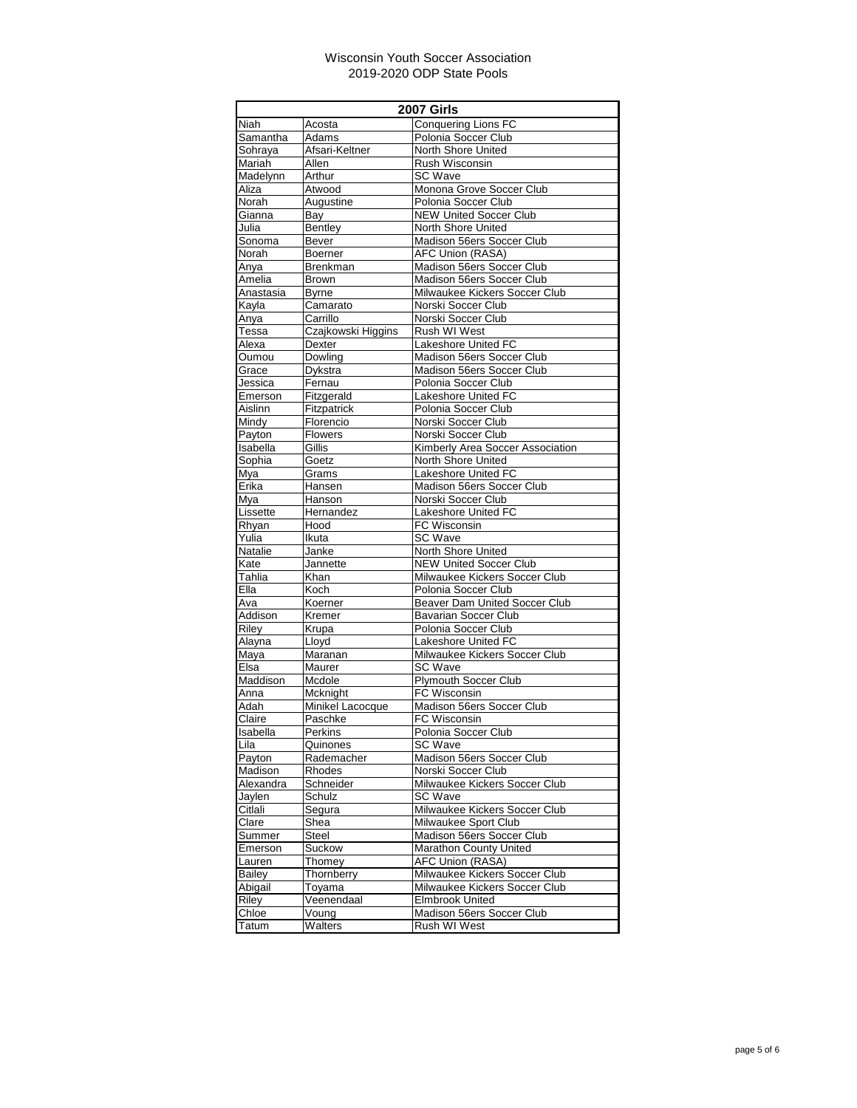| <b>2007 Girls</b> |                     |                                                 |
|-------------------|---------------------|-------------------------------------------------|
| Niah              | Acosta              | <b>Conquering Lions FC</b>                      |
| Samantha          | Adams               | Polonia Soccer Club                             |
| Sohraya           | Afsari-Keltner      | North Shore United                              |
| Mariah            | Allen               | Rush Wisconsin                                  |
| Madelynn          | Arthur              | SC Wave                                         |
| Aliza             | Atwood              | Monona Grove Soccer Club                        |
| Norah             | Augustine           | Polonia Soccer Club                             |
| Gianna            | Bay                 | <b>NEW United Soccer Club</b>                   |
| Julia             | Bentley             | North Shore United                              |
| Sonoma            | Bever               | Madison 56ers Soccer Club                       |
| Norah             | Boerner             | AFC Union (RASA)                                |
| Anya              | Brenkman            | Madison 56ers Soccer Club                       |
| Amelia            | <b>Brown</b>        | Madison 56ers Soccer Club                       |
| Anastasia         | <b>Byrne</b>        | Milwaukee Kickers Soccer Club                   |
| Kayla             | Camarato            | Norski Soccer Club                              |
| Anya              | Carrillo            | Norski Soccer Club                              |
| Tessa             | Czajkowski Higgins  | Rush WI West                                    |
| Alexa             | Dexter              | Lakeshore United FC                             |
| Oumou             | Dowling             | Madison 56ers Soccer Club                       |
| Grace             | Dykstra             | Madison 56ers Soccer Club                       |
| Jessica           | Fernau              | Polonia Soccer Club                             |
| Emerson           | Fitzgerald          | Lakeshore United FC                             |
| Aislinn           | Fitzpatrick         | Polonia Soccer Club                             |
| Mindy             | Florencio           | Norski Soccer Club                              |
| Payton            | Flowers             | Norski Soccer Club                              |
| Isabella          | Gillis              | Kimberly Area Soccer Association                |
| Sophia            | Goetz               | North Shore United                              |
| Mya               | Grams               | Lakeshore United FC                             |
| Erika             | Hansen              | Madison 56ers Soccer Club                       |
| Mya               | Hanson              | Norski Soccer Club                              |
| Lissette          | Hernandez           | Lakeshore United FC                             |
| Rhyan             | Hood                | FC Wisconsin                                    |
| Yulia             | Ikuta               | <b>SC Wave</b>                                  |
| Natalie           | Janke               | North Shore United                              |
| Kate              | Jannette            | <b>NEW United Soccer Club</b>                   |
| Tahlia            | Khan                | Milwaukee Kickers Soccer Club                   |
| Ella              | Koch                | Polonia Soccer Club                             |
| Ava               | Koerner             | Beaver Dam United Soccer Club                   |
| Addison           | Kremer              | <b>Bavarian Soccer Club</b>                     |
| Riley             | Krupa               | Polonia Soccer Club                             |
| Alayna            | Lloyd               | Lakeshore United FC                             |
| Maya              | Maranan             | Milwaukee Kickers Soccer Club                   |
| Elsa              | Maurer              | SC Wave                                         |
| Maddison          | Mcdole              | <b>Plymouth Soccer Club</b>                     |
| Anna              | Mcknight            | FC Wisconsin<br>Madison 56ers Soccer Club       |
| Adah              | Minikel Lacocque    |                                                 |
| Claire            | Paschke             | FC Wisconsin                                    |
| Isabella          | Perkins             | Polonia Soccer Club                             |
| Lila              | Quinones            | <b>SC Wave</b>                                  |
| Payton<br>Madison | Rademacher          | Madison 56ers Soccer Club<br>Norski Soccer Club |
| Alexandra         | Rhodes              | Milwaukee Kickers Soccer Club                   |
| Jaylen            | Schneider<br>Schulz | SC Wave                                         |
| Citlali           |                     | Milwaukee Kickers Soccer Club                   |
| Clare             | Segura<br>Shea      | Milwaukee Sport Club                            |
| Summer            | Steel               | Madison 56ers Soccer Club                       |
| Emerson           | Suckow              | Marathon County United                          |
| Lauren            | Thomey              | AFC Union (RASA)                                |
| Bailey            | Thornberry          | Milwaukee Kickers Soccer Club                   |
| Abigail           | Toyama              | Milwaukee Kickers Soccer Club                   |
| Riley             | Veenendaal          | <b>Elmbrook United</b>                          |
| Chloe             | Voung               | Madison 56ers Soccer Club                       |
| Tatum             | Walters             | Rush WI West                                    |
|                   |                     |                                                 |